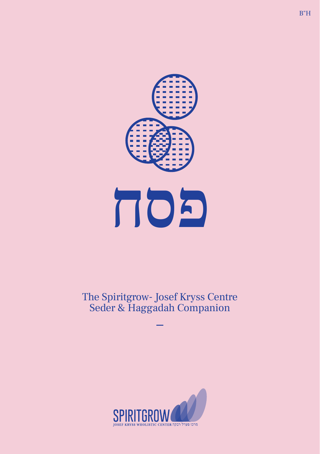

#### The Spiritgrow- Josef Kryss Centre Seder & Haggadah Companion

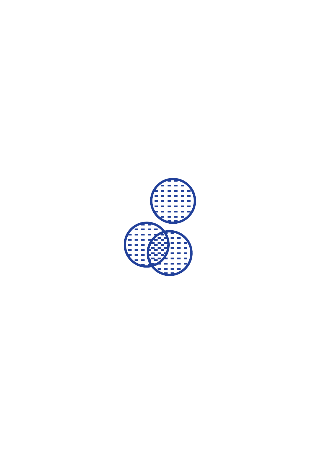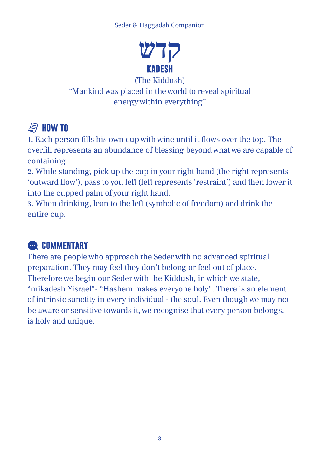

(The Kiddush) "Mankind was placed in the world to reveal spiritual energy within everything"

# À **how to**

1. Each person fills his own cup with wine until it flows over the top. The overfill represents an abundance of blessing beyond what we are capable of containing.

2. While standing, pick up the cup in your right hand (the right represents 'outward flow'), pass to you left (left represents 'restraint') and then lower it into the cupped palm of your right hand.

3. When drinking, lean to the left (symbolic of freedom) and drink the entire cup.

# **COMMENTARY**

There are people who approach the Seder with no advanced spiritual preparation. They may feel they don't belong or feel out of place. Therefore we begin our Seder with the Kiddush, in which we state, "mikadesh Yisrael"- "Hashem makes everyone holy". There is an element of intrinsic sanctity in every individual - the soul. Even though we may not be aware or sensitive towards it, we recognise that every person belongs, is holy and unique.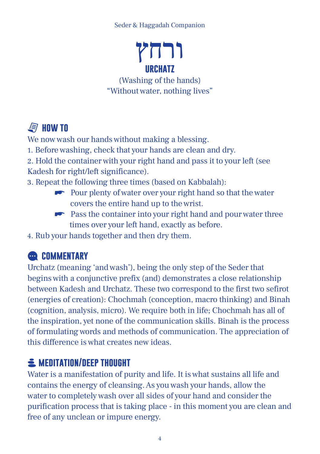# (Washing of the hands) ורחץ **urchatz**

"Without water, nothing lives"

# À **how to**

We now wash our hands without making a blessing.

1. Before washing, check that your hands are clean and dry.

2. Hold the container with your right hand and pass it to your left (see Kadesh for right/left significance).

3. Repeat the following three times (based on Kabbalah):

- Pour plenty of water over your right hand so that the water covers the entire hand up to the wrist.
- **Pass the container into your right hand and pour water three** times over your left hand, exactly as before.
- 4. Rub your hands together and then dry them.

## **COMMENTARY**

Urchatz (meaning 'and wash'), being the only step of the Seder that begins with a conjunctive prefix (and) demonstrates a close relationship between Kadesh and Urchatz. These two correspond to the first two sefirot (energies of creation): Chochmah (conception, macro thinking) and Binah (cognition, analysis, micro). We require both in life; Chochmah has all of the inspiration, yet none of the communication skills. Binah is the process of formulating words and methods of communication. The appreciation of this difference is what creates new ideas.

## **S. MEDITATION/DEEP THOUGHT**

Water is a manifestation of purity and life. It is what sustains all life and contains the energy of cleansing. As you wash your hands, allow the water to completely wash over all sides of your hand and consider the purification process that is taking place - in this moment you are clean and free of any unclean or impure energy.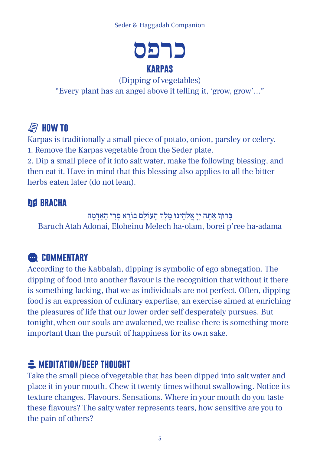

## (Dipping of vegetables) "Every plant has an angel above it telling it, 'grow, grow'…"

# À **how to**

Karpas is traditionally a small piece of potato, onion, parsley or celery. 1. Remove the Karpas vegetable from the Seder plate.

2. Dip a small piece of it into salt water, make the following blessing, and then eat it. Have in mind that this blessing also applies to all the bitter herbs eaten later (do not lean).

#### **bracha** י

בָרוּךְ אַתָּה יְיָ אֱלֹהֵינוּ מֶלֶךְ הָעוֹלָם בּוֹרֵא פְּרִי הָאֲדָמָה Baruch Atah Adonai, Eloheinu Melech ha-olam, borei p'ree ha-adama

# **COMMENTARY**

According to the Kabbalah, dipping is symbolic of ego abnegation. The dipping of food into another flavour is the recognition that without it there is something lacking, that we as individuals are not perfect. Often, dipping food is an expression of culinary expertise, an exercise aimed at enriching the pleasures of life that our lower order self desperately pursues. But tonight, when our souls are awakened, we realise there is something more important than the pursuit of happiness for its own sake.

## **E MEDITATION/DEEP THOUGHT**

Take the small piece of vegetable that has been dipped into salt water and place it in your mouth. Chew it twenty times without swallowing. Notice its texture changes. Flavours. Sensations. Where in your mouth do you taste these flavours? The salty water represents tears, how sensitive are you to the pain of others?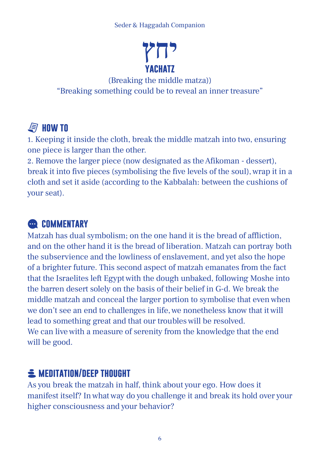# יחץ **yachatz**

(Breaking the middle matza)) "Breaking something could be to reveal an inner treasure"

# $\blacksquare$  **HOW TO**

1. Keeping it inside the cloth, break the middle matzah into two, ensuring one piece is larger than the other.

2. Remove the larger piece (now designated as the Afikoman - dessert), break it into five pieces (symbolising the five levels of the soul), wrap it in a cloth and set it aside (according to the Kabbalah: between the cushions of your seat).

# **COMMENTARY**

Matzah has dual symbolism; on the one hand it is the bread of affliction, and on the other hand it is the bread of liberation. Matzah can portray both the subservience and the lowliness of enslavement, and yet also the hope of a brighter future. This second aspect of matzah emanates from the fact that the Israelites left Egypt with the dough unbaked, following Moshe into the barren desert solely on the basis of their belief in G-d. We break the middle matzah and conceal the larger portion to symbolise that even when we don't see an end to challenges in life, we nonetheless know that it will lead to something great and that our troubles will be resolved. We can live with a measure of serenity from the knowledge that the end will be good.

# **E MEDITATION/DEEP THOUGHT**

As you break the matzah in half, think about your ego. How does it manifest itself? In what way do you challenge it and break its hold over your higher consciousness and your behavior?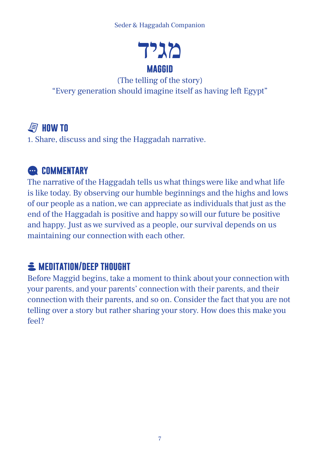# מגיד **maggid**

(The telling of the story) "Every generation should imagine itself as having left Egypt"

# À **how to**

1. Share, discuss and sing the Haggadah narrative.

## **COMMENTARY**

The narrative of the Haggadah tells us what things were like and what life is like today. By observing our humble beginnings and the highs and lows of our people as a nation, we can appreciate as individuals that just as the end of the Haggadah is positive and happy so will our future be positive and happy. Just as we survived as a people, our survival depends on us maintaining our connection with each other.

# **E MEDITATION/DEEP THOUGHT**

Before Maggid begins, take a moment to think about your connection with your parents, and your parents' connection with their parents, and their connection with their parents, and so on. Consider the fact that you are not telling over a story but rather sharing your story. How does this make you feel?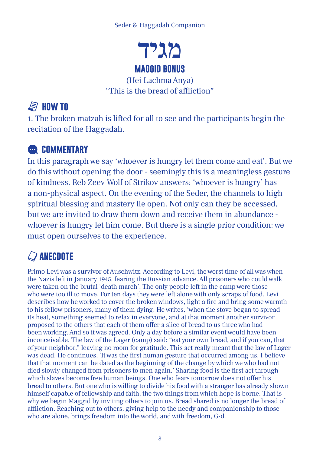# מגיד **maggid bonus**

(Hei Lachma Anya) "This is the bread of affliction"

# **A HOW TO**

1. The broken matzah is lifted for all to see and the participants begin the recitation of the Haggadah.

# **COMMENTARY**

In this paragraph we say 'whoever is hungry let them come and eat'. But we do this without opening the door - seemingly this is a meaningless gesture of kindness. Reb Zeev Wolf of Strikov answers: 'whoever is hungry' has a non-physical aspect. On the evening of the Seder, the channels to high spiritual blessing and mastery lie open. Not only can they be accessed, but we are invited to draw them down and receive them in abundance whoever is hungry let him come. But there is a single prior condition: we must open ourselves to the experience.

# ẁ **anecdote**

Primo Levi was a survivor of Auschwitz. According to Levi, the worst time of all was when the Nazis left in January 1945, fearing the Russian advance. All prisoners who could walk were taken on the brutal 'death march'. The only people left in the camp were those who were too ill to move. For ten days they were left alone with only scraps of food. Levi describes how he worked to cover the broken windows, light a fire and bring some warmth to his fellow prisoners, many of them dying. He writes, 'when the stove began to spread its heat, something seemed to relax in everyone, and at that moment another survivor proposed to the others that each of them offer a slice of bread to us three who had been working. And so it was agreed. Only a day before a similar event would have been inconceivable. The law of the Lager (camp) said: "eat your own bread, and if you can, that of your neighbor," leaving no room for gratitude. This act really meant that the law of Lager was dead. He continues, 'It was the first human gesture that occurred among us. I believe that that moment can be dated as the beginning of the change by which we who had not died slowly changed from prisoners to men again.' Sharing food is the first act through which slaves become free human beings. One who fears tomorrow does not offer his bread to others. But one who is willing to divide his food with a stranger has already shown himself capable of fellowship and faith, the two things from which hope is borne. That is why we begin Maggid by inviting others to join us. Bread shared is no longer the bread of affliction. Reaching out to others, giving help to the needy and companionship to those who are alone, brings freedom into the world, and with freedom, G-d.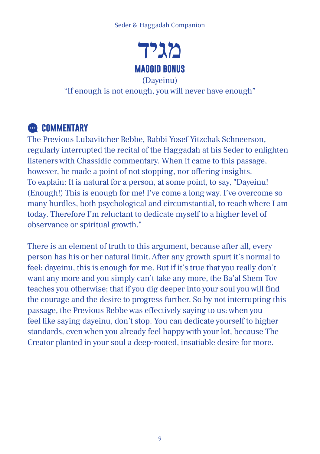

"If enough is not enough, you will never have enough"

# **COMMENTARY**

The Previous Lubavitcher Rebbe, Rabbi Yosef Yitzchak Schneerson, regularly interrupted the recital of the Haggadah at his Seder to enlighten listeners with Chassidic commentary. When it came to this passage, however, he made a point of not stopping, nor offering insights. To explain: It is natural for a person, at some point, to say, "Dayeinu! (Enough!) This is enough for me! I've come a long way. I've overcome so many hurdles, both psychological and circumstantial, to reach where I am today. Therefore I'm reluctant to dedicate myself to a higher level of observance or spiritual growth."

There is an element of truth to this argument, because after all, every person has his or her natural limit. After any growth spurt it's normal to feel: dayeinu, this is enough for me. But if it's true that you really don't want any more and you simply can't take any more, the Ba'al Shem Tov teaches you otherwise; that if you dig deeper into your soul you will find the courage and the desire to progress further. So by not interrupting this passage, the Previous Rebbe was effectively saying to us: when you feel like saying dayeinu, don't stop. You can dedicate yourself to higher standards, even when you already feel happy with your lot, because The Creator planted in your soul a deep-rooted, insatiable desire for more.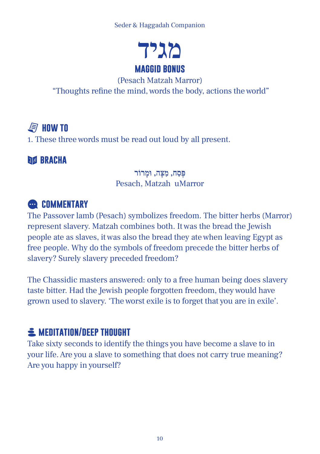

#### (Pesach Matzah Marror)

"Thoughts refine the mind, words the body, actions the world"

À **how to** 1. These three words must be read out loud by all present.

### **bracha** י

#### ּה, וּמָרוֹר פֶּ סַח, מַ צָ Pesach, Matzah uMarror

## **COMMENTARY**

The Passover lamb (Pesach) symbolizes freedom. The bitter herbs (Marror) represent slavery. Matzah combines both. It was the bread the Jewish people ate as slaves, it was also the bread they ate when leaving Egypt as free people. Why do the symbols of freedom precede the bitter herbs of slavery? Surely slavery preceded freedom?

The Chassidic masters answered: only to a free human being does slavery taste bitter. Had the Jewish people forgotten freedom, they would have grown used to slavery. 'The worst exile is to forget that you are in exile'.

## **E MEDITATION/DEEP THOUGHT**

Take sixty seconds to identify the things you have become a slave to in your life. Are you a slave to something that does not carry true meaning? Are you happy in yourself?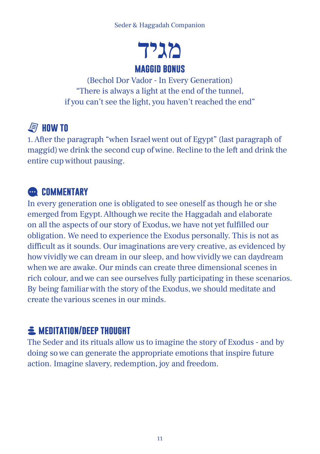

(Bechol Dor Vador - In Every Generation) "There is always a light at the end of the tunnel, if you can't see the light, you haven't reached the end"

# À **how to**

1. After the paragraph "when Israel went out of Egypt" (last paragraph of maggid) we drink the second cup of wine. Recline to the left and drink the entire cup without pausing.

# **COMMENTARY**

In every generation one is obligated to see oneself as though he or she emerged from Egypt. Although we recite the Haggadah and elaborate on all the aspects of our story of Exodus, we have not yet fulfilled our obligation. We need to experience the Exodus personally. This is not as difficult as it sounds. Our imaginations are very creative, as evidenced by how vividly we can dream in our sleep, and how vividly we can daydream when we are awake. Our minds can create three dimensional scenes in rich colour, and we can see ourselves fully participating in these scenarios. By being familiar with the story of the Exodus, we should meditate and create the various scenes in our minds.

## **E MEDITATION/DEEP THOUGHT**

The Seder and its rituals allow us to imagine the story of Exodus - and by doing so we can generate the appropriate emotions that inspire future action. Imagine slavery, redemption, joy and freedom.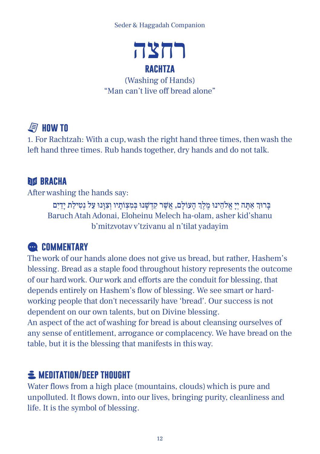# (Washing of Hands) "Man can't live off bread alone" רחצה **rachtza**

# À **how to**

1. For Rachtzah: With a cup, wash the right hand three times, then wash the left hand three times. Rub hands together, dry hands and do not talk.

#### **bracha** י

After washing the hands say:

בְּרוּךְ אַתָּה יְיָ אֱלֹהֵינוּ מֶלֶךְ הָעוֹלָם, אֲשֶׁר קִדְשָׁנוּ בְּמִצְוֹתָיו וְצִוְּנוּ עַל נְטִילַת יָדַיִם Baruch Atah Adonai, Eloheinu Melech ha-olam, asher kid'shanu b'mitzvotav v'tzivanu al n'tilat yadayim

## **COMMENTARY**

The work of our hands alone does not give us bread, but rather, Hashem's blessing. Bread as a staple food throughout history represents the outcome of our hard work. Our work and efforts are the conduit for blessing, that depends entirely on Hashem's flow of blessing. We see smart or hardworking people that don't necessarily have 'bread'. Our success is not dependent on our own talents, but on Divine blessing.

An aspect of the act of washing for bread is about cleansing ourselves of any sense of entitlement, arrogance or complacency. We have bread on the table, but it is the blessing that manifests in this way.

## **E MEDITATION/DEEP THOUGHT**

Water flows from a high place (mountains, clouds) which is pure and unpolluted. It flows down, into our lives, bringing purity, cleanliness and life. It is the symbol of blessing.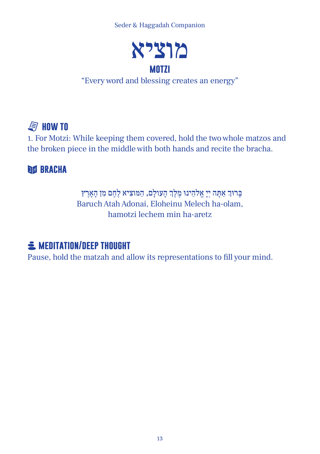

"Every word and blessing creates an energy"

# *<u></u></del></del>* **<b>HOW TO**

1. For Motzi: While keeping them covered, hold the two whole matzos and the broken piece in the middle with both hands and recite the bracha.

#### **bracha** י

כָּרוּךְ אַתָּה יְיָ אֱלֹהֵינוּ מֶלֶךְ הָעולָם, הַמּוצִיא לֶחֶם מִן הָאָרֶץ Baruch Atah Adonai, Eloheinu Melech ha-olam, hamotzi lechem min ha-aretz

## **E MEDITATION/DEEP THOUGHT**

Pause, hold the matzah and allow its representations to fill your mind.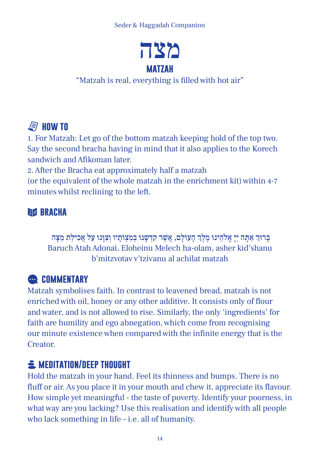

"Matzah is real, everything is filled with hot air"

# À **how to**

1. For Matzah: Let go of the bottom matzah keeping hold of the top two. Say the second bracha having in mind that it also applies to the Korech sandwich and Afikoman later.

2. After the Bracha eat approximately half a matzah

(or the equivalent of the whole matzah in the enrichment kit) within 4-7 minutes whilst reclining to the left.

#### **bracha** י

ּבָרוּךְ אַתָּה יְיָ אֱלֹהֵינוּ מֶלֶךְ הָעוֹלָם, אֲשֶׁר קִדְּשָׁנוּ בְּמִצְוֹתָיו וְצִוָּנוּ עַל אֲכִילַת מַצָּה Baruch Atah Adonai, Eloheinu Melech ha-olam, asher kid'shanu b'mitzvotav v'tzivanu al achilat matzah

## **COMMENTARY**

Matzah symbolises faith. In contrast to leavened bread, matzah is not enriched with oil, honey or any other additive. It consists only of flour and water, and is not allowed to rise. Similarly, the only 'ingredients' for faith are humility and ego abnegation, which come from recognising our minute existence when compared with the infinite energy that is the Creator.

## **E MEDITATION/DEEP THOUGHT**

Hold the matzah in your hand. Feel its thinness and bumps. There is no fluff or air. As you place it in your mouth and chew it, appreciate its flavour. How simple yet meaningful - the taste of poverty. Identify your poorness, in what way are you lacking? Use this realisation and identify with all people who lack something in life – i.e. all of humanity.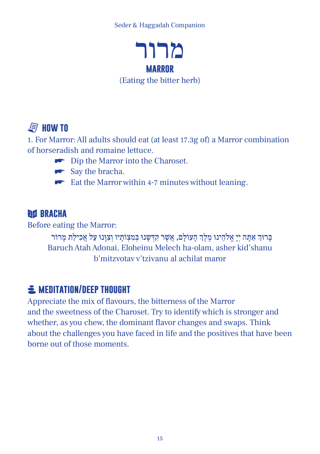

# À **how to**

1. For Marror: All adults should eat (at least 17.3g of) a Marror combination of horseradish and romaine lettuce.

- Dip the Marror into the Charoset.
- Say the bracha.
- Eat the Marror within 4-7 minutes without leaning.

#### **bracha**

Before eating the Marror:

ּבָרוּךְ אַתָּה יְיָ אֱלֹהֵינוּ מֶלֶךְ הָעוֹלָם, אֲשֶׁר קִדְּשָׁנוּ בְּמִצְוֹתָיו וְצִוָּנוּ עַל אֲכִילַת מָרוֹר Baruch Atah Adonai, Eloheinu Melech ha-olam, asher kid'shanu b'mitzvotav v'tzivanu al achilat maror

## **E MEDITATION/DEEP THOUGHT**

Appreciate the mix of flavours, the bitterness of the Marror and the sweetness of the Charoset. Try to identify which is stronger and whether, as you chew, the dominant flavor changes and swaps. Think about the challenges you have faced in life and the positives that have been borne out of those moments.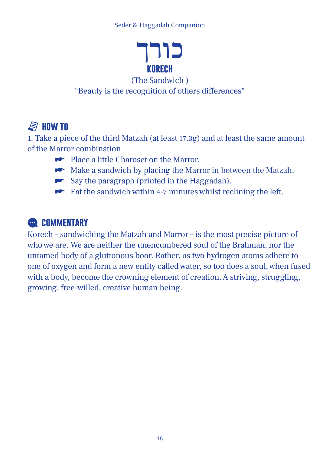

# À **how to**

1. Take a piece of the third Matzah (at least 17.3g) and at least the same amount of the Marror combination

- Place a little Charoset on the Marror.
- $\blacksquare$  Make a sandwich by placing the Marror in between the Matzah.
- Say the paragraph (printed in the Haggadah).
- $\blacktriangleright$  Eat the sandwich within 4-7 minutes whilst reclining the left.

## **EQ COMMENTARY**

Korech – sandwiching the Matzah and Marror – is the most precise picture of who we are. We are neither the unencumbered soul of the Brahman, nor the untamed body of a gluttonous boor. Rather, as two hydrogen atoms adhere to one of oxygen and form a new entity called water, so too does a soul, when fused with a body, become the crowning element of creation. A striving, struggling, growing, free-willed, creative human being.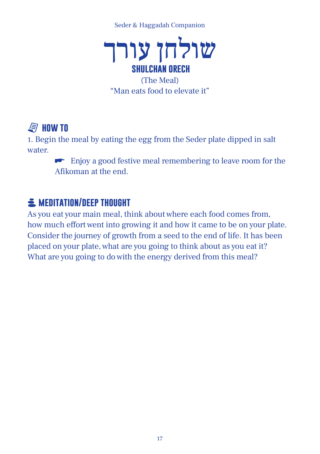

"Man eats food to elevate it"

# À **how to**

1. Begin the meal by eating the egg from the Seder plate dipped in salt water.

> Enjoy a good festive meal remembering to leave room for the Afikoman at the end.

#### **S. MEDITATION/DEEP THOUGHT**

As you eat your main meal, think about where each food comes from, how much effort went into growing it and how it came to be on your plate. Consider the journey of growth from a seed to the end of life. It has been placed on your plate, what are you going to think about as you eat it? What are you going to do with the energy derived from this meal?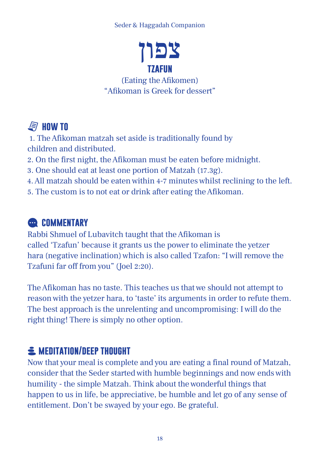# צפון **tzafun**

(Eating the Afikomen) "Afikoman is Greek for dessert"

# À **how to**

 1. The Afikoman matzah set aside is traditionally found by children and distributed.

- 2. On the first night, the Afikoman must be eaten before midnight.
- 3. One should eat at least one portion of Matzah (17.3g).
- 4. All matzah should be eaten within 4-7 minutes whilst reclining to the left.
- 5. The custom is to not eat or drink after eating the Afikoman.

#### **COMMENTARY**

Rabbi Shmuel of Lubavitch taught that the Afikoman is called 'Tzafun' because it grants us the power to eliminate the yetzer hara (negative inclination) which is also called Tzafon: "I will remove the Tzafuni far off from you" (Joel 2:20).

The Afikoman has no taste. This teaches us that we should not attempt to reason with the yetzer hara, to 'taste' its arguments in order to refute them. The best approach is the unrelenting and uncompromising: I will do the right thing! There is simply no other option.

#### **E MEDITATION/DEEP THOUGHT**

Now that your meal is complete and you are eating a final round of Matzah, consider that the Seder started with humble beginnings and now ends with humility - the simple Matzah. Think about the wonderful things that happen to us in life, be appreciative, be humble and let go of any sense of entitlement. Don't be swayed by your ego. Be grateful.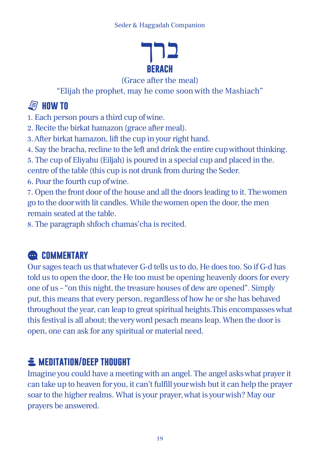# ברך **berach**

(Grace after the meal)

"Elijah the prophet, may he come soon with the Mashiach"

# À **how to**

1. Each person pours a third cup of wine.

2. Recite the birkat hamazon (grace after meal).

3. After birkat hamazon, lift the cup in your right hand.

4. Say the bracha, recline to the left and drink the entire cup without thinking.

5. The cup of Eliyahu (Eiljah) is poured in a special cup and placed in the.

centre of the table (this cup is not drunk from during the Seder.

6. Pour the fourth cup of wine.

7. Open the front door of the house and all the doors leading to it. The women go to the door with lit candles. While the women open the door, the men remain seated at the table.

8. The paragraph shfoch chamas'cha is recited.

# **<sup>co</sup> COMMENTARY**

Our sages teach us that whatever G-d tells us to do, He does too. So if G-d has told us to open the door, the He too must be opening heavenly doors for every one of us – "on this night, the treasure houses of dew are opened". Simply put, this means that every person, regardless of how he or she has behaved throughout the year, can leap to great spiritual heights.This encompasses what this festival is all about; the very word pesach means leap. When the door is open, one can ask for any spiritual or material need.

# **E** MEDITATION/DEEP THOUGHT

Imagine you could have a meeting with an angel. The angel asks what prayer it can take up to heaven for you, it can't fulfill your wish but it can help the prayer soar to the higher realms. What is your prayer, what is your wish? May our prayers be answered.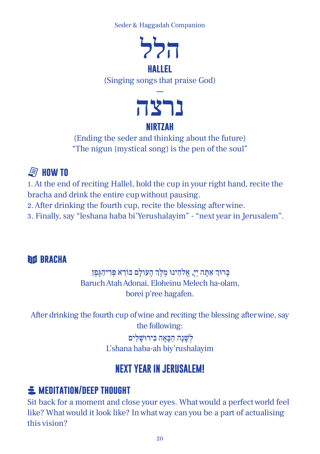



(Ending the seder and thinking about the future) "The nigun (mystical song) is the pen of the soul"

# À **how to**

1. At the end of reciting Hallel, hold the cup in your right hand, recite the bracha and drink the entire cup without pausing.

2. After drinking the fourth cup, recite the blessing after wine.

3. Finally, say "leshana haba bi'Yerushalayim" - "next year in Jerusalem".

#### **bracha**

בָרוּךְ אַתָּה יְיָ, אֱלֹהֵינוּ מֶלֶךְ הָעולָם בּוֹרֵא פְּרִיהַגָּפֶן Baruch Atah Adonai, Eloheinu Melech ha-olam, borei p'ree hagafen.

After drinking the fourth cup of wine and reciting the blessing after wine, say the following:

> לְשָׁנָה הַבַּאָה בְּירוּשַׁלִיִם L'shana haba-ah biy'rushalayim

# **NEXT YEAR IN JERUSALEM!**

# **E MEDITATION/DEEP THOUGHT**

Sit back for a moment and close your eyes. What would a perfect world feel like? What would it look like? In what way can you be a part of actualising this vision?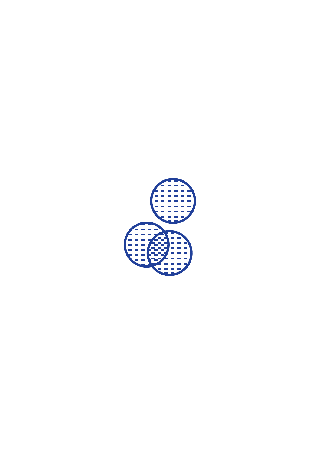